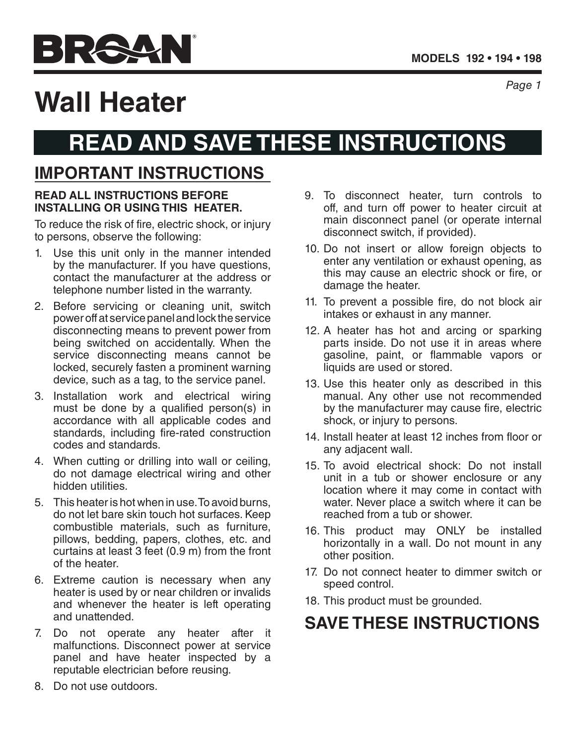

*Page 1*

# **Wall Heater**

## **READ AND SAVE THESE INSTRUCTIONS**

## **IMPORTANT INSTRUCTIONS**

#### **READ ALL INSTRUCTIONS BEFORE INSTALLING OR USING THIS HEATER.**

To reduce the risk of fire, electric shock, or injury to persons, observe the following:

- 1. Use this unit only in the manner intended by the manufacturer. If you have questions, contact the manufacturer at the address or telephone number listed in the warranty.
- 2. Before servicing or cleaning unit, switch power off at service panel and lock the service disconnecting means to prevent power from being switched on accidentally. When the service disconnecting means cannot be locked, securely fasten a prominent warning device, such as a tag, to the service panel.
- 3. Installation work and electrical wiring must be done by a qualified person(s) in accordance with all applicable codes and standards, including fire-rated construction codes and standards.
- 4. When cutting or drilling into wall or ceiling, do not damage electrical wiring and other hidden utilities.
- 5. This heater is hot when in use. To avoid burns, do not let bare skin touch hot surfaces. Keep combustible materials, such as furniture, pillows, bedding, papers, clothes, etc. and curtains at least 3 feet (0.9 m) from the front of the heater.
- 6. Extreme caution is necessary when any heater is used by or near children or invalids and whenever the heater is left operating and unattended.
- 7. Do not operate any heater after it malfunctions. Disconnect power at service panel and have heater inspected by a reputable electrician before reusing.
- 9. To disconnect heater, turn controls to off, and turn off power to heater circuit at main disconnect panel (or operate internal disconnect switch, if provided).
- 10. Do not insert or allow foreign objects to enter any ventilation or exhaust opening, as this may cause an electric shock or fire, or damage the heater.
- 11. To prevent a possible fire, do not block air intakes or exhaust in any manner.
- 12. A heater has hot and arcing or sparking parts inside. Do not use it in areas where gasoline, paint, or flammable vapors or liquids are used or stored.
- 13. Use this heater only as described in this manual. Any other use not recommended by the manufacturer may cause fire, electric shock, or injury to persons.
- 14. Install heater at least 12 inches from floor or any adjacent wall.
- 15. To avoid electrical shock: Do not install unit in a tub or shower enclosure or any location where it may come in contact with water. Never place a switch where it can be reached from a tub or shower.
- 16. This product may ONLY be installed horizontally in a wall. Do not mount in any other position.
- 17. Do not connect heater to dimmer switch or speed control.
- 18. This product must be grounded.

## **SAVE THESE INSTRUCTIONS**

8. Do not use outdoors.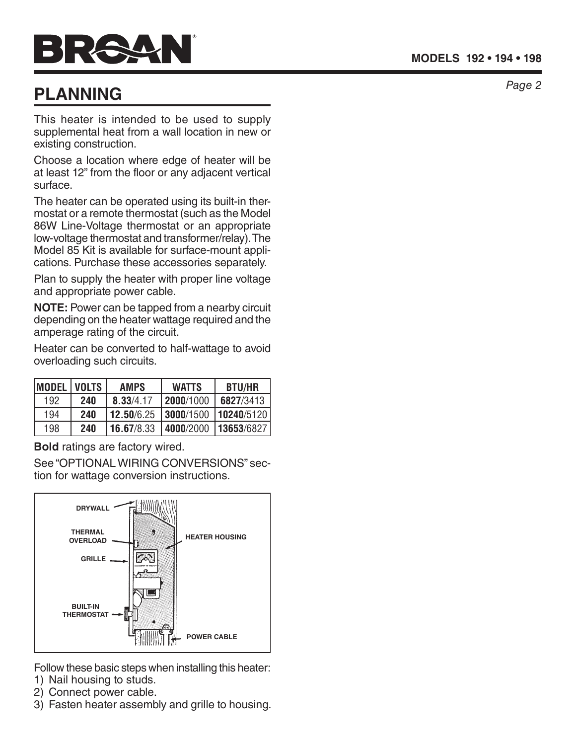## *Page 2* **PLANNING**

This heater is intended to be used to supply supplemental heat from a wall location in new or existing construction.

Choose a location where edge of heater will be at least 12" from the floor or any adjacent vertical surface.

The heater can be operated using its built-in thermostat or a remote thermostat (such as the Model 86W Line-Voltage thermostat or an appropriate low-voltage thermostat and transformer/relay). The Model 85 Kit is available for surface-mount appli cations. Purchase these accessories separately.

Plan to supply the heater with proper line voltage and appropriate power cable.

**NOTE:** Power can be tapped from a nearby circuit depending on the heater wattage required and the amperage rating of the circuit.

Heater can be converted to half-wattage to avoid overloading such circuits.

| <b>MODEL</b> | <b>VOLTS</b> | <b>AMPS</b>       | <b>WATTS</b>        | <b>BTU/HR</b> |
|--------------|--------------|-------------------|---------------------|---------------|
| 192          | 240          | 8.33/4.17         | l <b>2000</b> /1000 | 6827/3413     |
| 194          | 240          | <b>12.50/6.25</b> | 3000/1500           | 10240/5120    |
| 198          | 240          | 16.67/8.33        | 4000/2000           | 13653/6827    |

**Bold** ratings are factory wired.

See "OPTIONAL WIRING CONVERSIONS" sec tion for wattage conversion instructions.



Follow these basic steps when installing this heater:

- 1) Nail housing to studs.
- 2) Connect power cable.
- 3) Fasten heater assembly and grille to housing.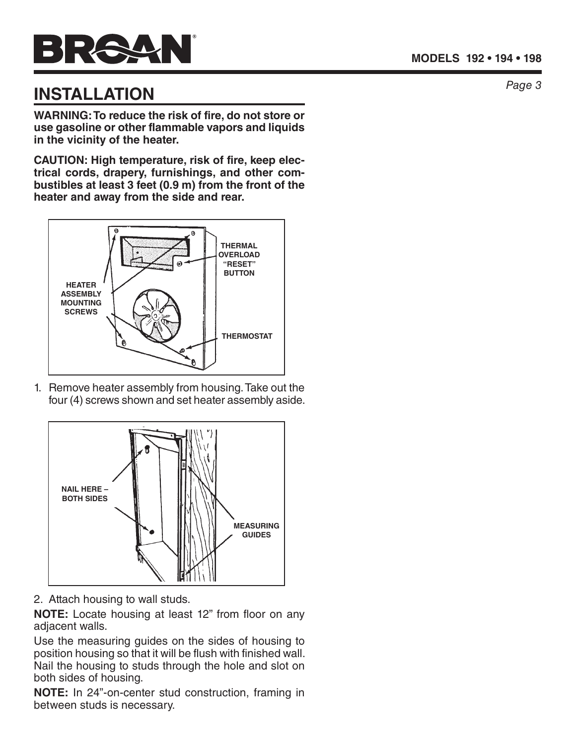

## **INSTALLATION**

**WARNING: To reduce the risk of fire, do not store or use gasoline or other flammable vapors and liquids in the vicinity of the heater.**

**CAUTION: High temperature, risk of fire, keep electrical cords, drapery, furnishings, and other combustibles at least 3 feet (0.9 m) from the front of the heater and away from the side and rear.**



1. Remove heater assembly from housing. Take out the four (4) screws shown and set heater assembly aside.



2. Attach housing to wall studs.

**NOTE:** Locate housing at least 12" from floor on any adjacent walls.

Use the measuring guides on the sides of housing to position housing so that it will be flush with finished wall. Nail the housing to studs through the hole and slot on both sides of housing.

**NOTE:** In 24"-on-center stud construction, framing in between studs is necessary.

*Page 3*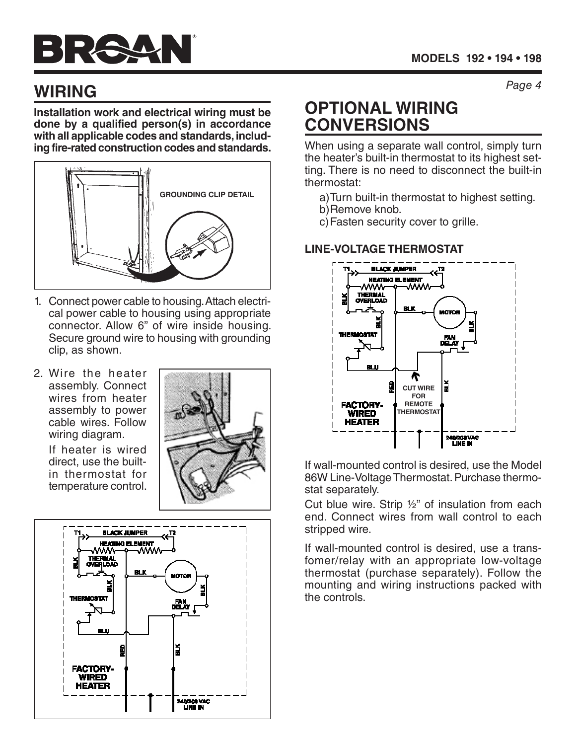## *Page 4* **WIRING**

**Installation work and electrical wiring must be done by a qualified person(s) in accordance with all applicable codes and standards, including fire-rated construction codes and standards.** 



- 1. Connect power cable to housing. Attach electrical power cable to housing using appropriate connector. Allow 6" of wire inside housing. Secure ground wire to housing with grounding clip, as shown.
- 2. Wire the heater assembly. Connect wires from heater assembly to power cable wires. Follow wiring diagram.

If heater is wired direct, use the builtin thermostat for temperature control.





## **OPTIONAL WIRING CONVERSIONS**

When using a separate wall control, simply turn the heater's built-in thermostat to its highest setting. There is no need to disconnect the built-in thermostat:

- a)Turn built-in thermostat to highest setting.
- b)Remove knob.
- c)Fasten security cover to grille.

#### **LINE-VOLTAGE THERMOSTAT**



If wall-mounted control is desired, use the Model 86W Line-Voltage Thermostat. Purchase thermostat separately.

Cut blue wire. Strip ½" of insulation from each end. Connect wires from wall control to each stripped wire.

If wall-mounted control is desired, use a transfomer/relay with an appropriate low-voltage thermostat (purchase separately). Follow the mounting and wiring instructions packed with the controls.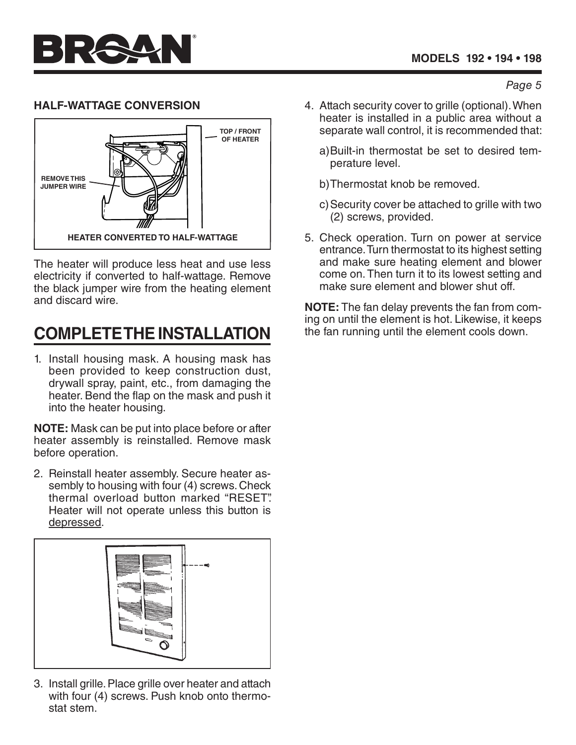*Page 5*

#### **HALF-WATTAGE CONVERSION**



The heater will produce less heat and use less electricity if converted to half-wattage. Remove the black jumper wire from the heating element and discard wire.

## **COMPLETE THE INSTALLATION**

1. Install housing mask. A housing mask has been provided to keep construction dust, drywall spray, paint, etc., from damaging the heater. Bend the flap on the mask and push it into the heater housing.

**NOTE:** Mask can be put into place before or after heater assembly is reinstalled. Remove mask before operation.

2. Reinstall heater assembly. Secure heater assembly to housing with four (4) screws. Check thermal overload button marked "RESET". Heater will not operate unless this button is depressed.



3. Install grille. Place grille over heater and attach with four (4) screws. Push knob onto thermostat stem.

- 4. Attach security cover to grille (optional). When heater is installed in a public area without a separate wall control, it is recommended that:
	- a)Built-in thermostat be set to desired temperature level.
	- b)Thermostat knob be removed.
	- c)Security cover be attached to grille with two (2) screws, provided.
- 5. Check operation. Turn on power at service entrance. Turn thermostat to its highest setting and make sure heating element and blower come on. Then turn it to its lowest setting and make sure element and blower shut off.

**NOTE:** The fan delay prevents the fan from coming on until the element is hot. Likewise, it keeps the fan running until the element cools down.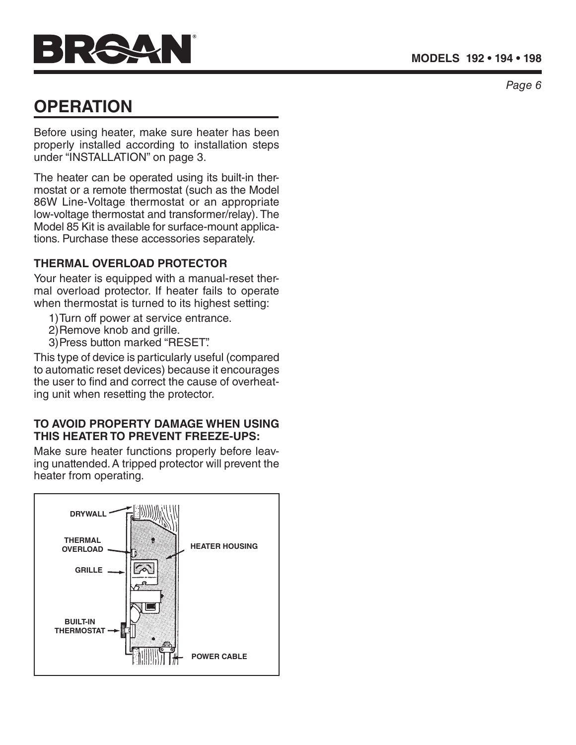

## **OPERATION**

Before using heater, make sure heater has been properly installed according to installation steps under "INSTALLATION" on page 3.

The heater can be operated using its built-in thermostat or a remote thermostat (such as the Model 86W Line-Voltage thermostat or an appropriate low-voltage thermostat and transformer/relay). The Model 85 Kit is available for surface-mount applications. Purchase these accessories separately.

#### **THERMAL OVERLOAD PROTECTOR**

Your heater is equipped with a manual-reset thermal overload protector. If heater fails to operate when thermostat is turned to its highest setting:

- 1)Turn off power at service entrance.
- 2)Remove knob and grille.
- 3)Press button marked "RESET".

This type of device is particularly useful (compared to automatic reset devices) because it encourages the user to find and correct the cause of overheating unit when resetting the protector.

#### **TO AVOID PROPERTY DAMAGE WHEN USING THIS HEATER TO PREVENT FREEZE-UPS:**

Make sure heater functions properly before leaving unattended. A tripped protector will prevent the heater from operating.



*Page 6*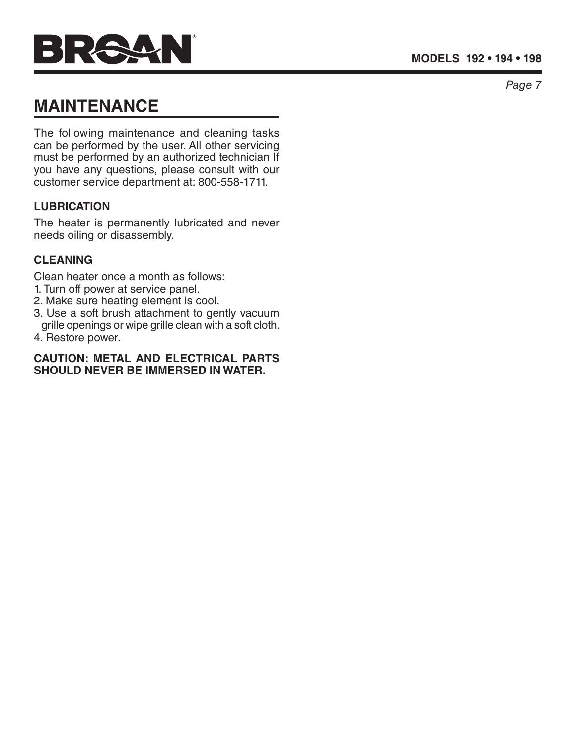# PAUL

## **MAINTENANCE**

The following maintenance and cleaning tasks can be performed by the user. All other servicing must be performed by an authorized technician If you have any questions, please consult with our customer service department at: 800-558-1711.

#### **LUBRICATION**

The heater is permanently lubricated and never needs oiling or disassembly.

#### **CLEANING**

Clean heater once a month as follows:

- 1. Turn off power at service panel.
- 2. Make sure heating element is cool.
- 3. Use a soft brush attachment to gently vacuum grille openings or wipe grille clean with a soft cloth.
- 4. Restore power.

#### **CAUTION: METAL AND ELECTRICAL PARTS SHOULD NEVER BE IMMERSED IN WATER.**

*Page 7*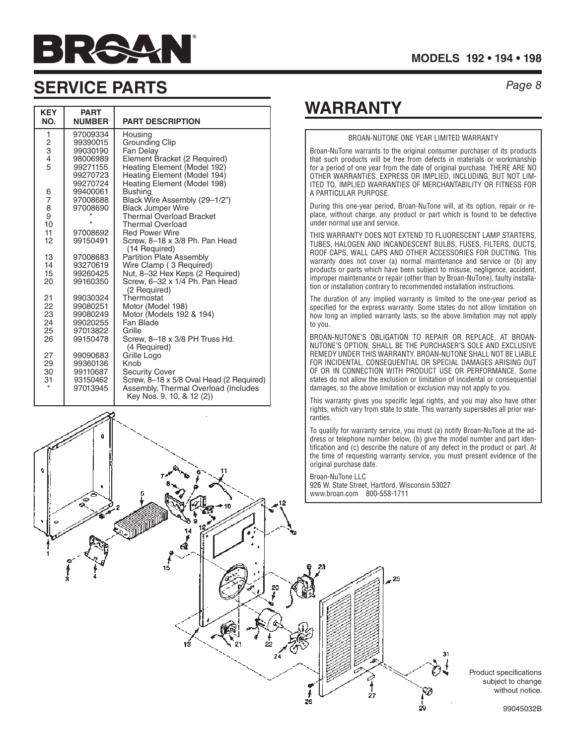

#### **MODELS 192 • 194 • 198**

*Page 8*

### **SERVICE PARTS**

 $\mathbf{0}$ 

| <b>KEY</b><br>NO. | <b>PART</b><br><b>NUMBER</b> | <b>PART DESCRIPTION</b>                                    |
|-------------------|------------------------------|------------------------------------------------------------|
| 1                 | 97009334<br>99390015         | Housing<br>Grounding Clip                                  |
| $\frac{2}{3}$     | 99030190                     | Fan Delay                                                  |
| 4                 | 98006989                     | Element Bracket (2 Required)                               |
| 5                 | 99271155                     | Heating Element (Model 192)                                |
|                   | 99270723                     | Heating Element (Model 194)                                |
|                   | 99270724                     | Heating Element (Model 198)                                |
| 6                 | 99400061                     | <b>Bushing</b>                                             |
| $\overline{7}$    | 97008688                     | Black Wire Assembly (29-1/2")                              |
| 8                 | 97008690                     | <b>Black Jumper Wire</b>                                   |
| 9<br>10           |                              | <b>Thermal Overload Bracket</b><br><b>Thermal Overload</b> |
| 11                | 97008692                     | <b>Red Power Wire</b>                                      |
| 12                | 99150491                     | Screw, 8-18 x 3/8 Ph. Pan Head                             |
|                   |                              | (14 Required)                                              |
| 13                | 97008683                     | <b>Partition Plate Assembly</b>                            |
| 14                | 93270619                     | Wire Clamp (3 Required)                                    |
| 15                | 99260425                     | Nut, 8-32 Hex Keps (2 Required)                            |
| 20                | 99160350                     | Screw, 6-32 x 1/4 Ph. Pan Head                             |
|                   |                              | (2 Required)                                               |
| 21                | 99030324                     | Thermostat                                                 |
| 22<br>23          | 99080251<br>99080249         | Motor (Model 198)                                          |
| 24                | 99020255                     | Motor (Models 192 & 194)<br>Fan Blade                      |
| 25                | 97013822                     | Grille                                                     |
| 26                | 99150478                     | Screw, 8-18 x 3/8 PH Truss Hd.                             |
|                   |                              | (4 Required)                                               |
| 27                | 99090683                     | Grille Logo                                                |
| 29                | 99360136                     | Knob                                                       |
| 30                | 99110687                     | <b>Security Cover</b>                                      |
| 31                | 93150462                     | Screw, 8-18 x 5/8 Oval Head (2 Required)                   |
|                   | 97013945                     | Assembly, Thermal Overload (Includes                       |
|                   |                              | Key Nos. 9, 10, & 12 (2))                                  |

## **WARRANTY**

#### BROAN-NUTONE ONE YEAR LIMITED WARRANTY Broan-NuTone warrants to the original consumer purchaser of its products that such products will be free from defects in materials or workmanship for a period of one year from the date of original purchase. THERE ARE NO OTHER WARRANTIES, EXPRESS OR IMPLIED, INCLUDING, BUT NOT LIM-ITED TO, IMPLIED WARRANTIES OF MERCHANTABILITY OR FITNESS FOR A PARTICULAR PURPOSE. During this one-year period, Broan-NuTone will, at its option, repair or replace, without charge, any product or part which is found to be defective under normal use and service. THIS WARRANTY DOES NOT EXTEND TO FLUORESCENT LAMP STARTERS, TUBES, HALOGEN AND INCANDESCENT BULBS, FUSES, FILTERS, DUCTS, ROOF CAPS, WALL CAPS AND OTHER ACCESSORIES FOR DUCTING. This warranty does not cover (a) normal maintenance and service or (b) any products or parts which have been subject to misuse, negligence, accident, improper maintenance or repair (other than by Broan-NuTone), faulty installation or installation contrary to recommended installation instructions. The duration of any implied warranty is limited to the one-year period as specified for the express warranty. Some states do not allow limitation on how long an implied warranty lasts, so the above limitation may not apply to you. BROAN-NUTONE'S OBLIGATION TO REPAIR OR REPLACE, AT BROAN-NUTONE'S OPTION, SHALL BE THE PURCHASER'S SOLE AND EXCLUSIVE REMEDY UNDER THIS WARRANTY. BROAN-NUTONE SHALL NOT BE LIABLE

FOR INCIDENTAL, CONSEQUENTIAL OR SPECIAL DAMAGES ARISING OUT OF OR IN CONNECTION WITH PRODUCT USE OR PERFORMANCE. Some states do not allow the exclusion or limitation of incidental or consequential damages, so the above limitation or exclusion may not apply to you.

This warranty gives you specific legal rights, and you may also have other rights, which vary from state to state. This warranty supersedes all prior warranties.

To qualify for warranty service, you must (a) notify Broan-NuTone at the address or telephone number below, (b) give the model number and part identification and (c) describe the nature of any defect in the product or part. At the time of requesting warranty service, you must present evidence of the original purchase date.

Ø

Broan-NuTone LLC 926 W. State Street, Hartford, Wisconsin 53027 www.broan.com 800-558-1711

25

 $\frac{1}{27}$ 

Product specifications subject to change without notice.

$$
\frac{1}{\sqrt{\frac{1}{\sqrt{2}}\cdot\frac{1}{\sqrt{2}}\cdot\frac{1}{\sqrt{2}}\cdot\frac{1}{\sqrt{2}}\cdot\frac{1}{\sqrt{2}}\cdot\frac{1}{\sqrt{2}}\cdot\frac{1}{\sqrt{2}}\cdot\frac{1}{\sqrt{2}}\cdot\frac{1}{\sqrt{2}}\cdot\frac{1}{\sqrt{2}}\cdot\frac{1}{\sqrt{2}}\cdot\frac{1}{\sqrt{2}}\cdot\frac{1}{\sqrt{2}}\cdot\frac{1}{\sqrt{2}}\cdot\frac{1}{\sqrt{2}}\cdot\frac{1}{\sqrt{2}}\cdot\frac{1}{\sqrt{2}}\cdot\frac{1}{\sqrt{2}}\cdot\frac{1}{\sqrt{2}}\cdot\frac{1}{\sqrt{2}}\cdot\frac{1}{\sqrt{2}}\cdot\frac{1}{\sqrt{2}}\cdot\frac{1}{\sqrt{2}}\cdot\frac{1}{\sqrt{2}}\cdot\frac{1}{\sqrt{2}}\cdot\frac{1}{\sqrt{2}}\cdot\frac{1}{\sqrt{2}}\cdot\frac{1}{\sqrt{2}}\cdot\frac{1}{\sqrt{2}}\cdot\frac{1}{\sqrt{2}}\cdot\frac{1}{\sqrt{2}}\cdot\frac{1}{\sqrt{2}}\cdot\frac{1}{\sqrt{2}}\cdot\frac{1}{\sqrt{2}}\cdot\frac{1}{\sqrt{2}}\cdot\frac{1}{\sqrt{2}}\cdot\frac{1}{\sqrt{2}}\cdot\frac{1}{\sqrt{2}}\cdot\frac{1}{\sqrt{2}}\cdot\frac{1}{\sqrt{2}}\cdot\frac{1}{\sqrt{2}}\cdot\frac{1}{\sqrt{2}}\cdot\frac{1}{\sqrt{2}}\cdot\frac{1}{\sqrt{2}}\cdot\frac{1}{\sqrt{2}}\cdot\frac{1}{\sqrt{2}}\cdot\frac{1}{\sqrt{2}}\cdot\frac{1}{\sqrt{2}}\cdot\frac{1}{\sqrt{2}}\cdot\frac{1}{\sqrt{2}}\cdot\frac{1}{\sqrt{2}}\cdot\frac{1}{\sqrt{2}}\cdot\frac{1}{\sqrt{2}}\cdot\frac{1}{\sqrt{2}}\cdot\frac{1}{\sqrt{2}}\cdot\frac{1}{\sqrt{2}}\cdot\frac{1}{\sqrt{2}}\cdot\frac{1}{\sqrt{2}}\cdot\frac{1}{\sqrt{2}}\cdot\frac{1}{\sqrt{2}}\cdot\frac{1}{\sqrt{2}}\cdot\frac{1}{\sqrt{2}}\cdot\frac{1}{\sqrt{2
$$

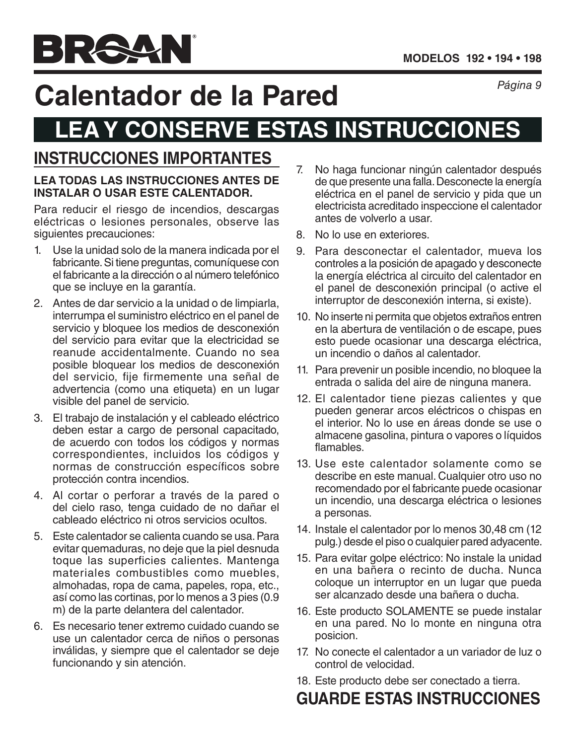# *Página 9* **Calentador de la Pared**

## **LEA Y CONSERVE ESTAS INSTRUCCIONES**

## **INSTRUCCIONES IMPORTANTES**

#### **LEA TODAS LAS INSTRUCCIONES ANTES DE INSTALAR O USAR ESTE CALENTADOR.**

Para reducir el riesgo de incendios, descargas eléctricas o lesiones personales, observe las siguientes precauciones:

- 1. Use la unidad solo de la manera indicada por el fabricante. Si tiene preguntas, comuníquese con el fabricante a la dirección o al número telefónico que se incluye en la garantía.
- 2. Antes de dar servicio a la unidad o de limpiarla, interrumpa el suministro eléctrico en el panel de servicio y bloquee los medios de desconexión del servicio para evitar que la electricidad se reanude accidentalmente. Cuando no sea posible bloquear los medios de desconexión del servicio, fije firmemente una señal de advertencia (como una etiqueta) en un lugar visible del panel de servicio.
- 3. El trabajo de instalación y el cableado eléctrico deben estar a cargo de personal capacitado, de acuerdo con todos los códigos y normas correspondientes, incluidos los códigos y normas de construcción específicos sobre protección contra incendios.
- 4. Al cortar o perforar a través de la pared o del cielo raso, tenga cuidado de no dañar el cableado eléctrico ni otros servicios ocultos.
- 5. Este calentador se calienta cuando se usa. Para evitar quemaduras, no deje que la piel desnuda toque las superficies calientes. Mantenga materiales combustibles como muebles, almohadas, ropa de cama, papeles, ropa, etc., así como las cortinas, por lo menos a 3 pies (0.9 m) de la parte delantera del calentador.
- 6. Es necesario tener extremo cuidado cuando se use un calentador cerca de niños o personas inválidas, y siempre que el calentador se deje funcionando y sin atención.
- 7. No haga funcionar ningún calentador después de que presente una falla. Desconecte la energía eléctrica en el panel de servicio y pida que un electricista acreditado inspeccione el calentador antes de volverlo a usar.
- 8. No lo use en exteriores.
- 9. Para desconectar el calentador, mueva los controles a la posición de apagado y desconecte la energía eléctrica al circuito del calentador en el panel de desconexión principal (o active el interruptor de desconexión interna, si existe).
- 10. No inserte ni permita que objetos extraños entren en la abertura de ventilación o de escape, pues esto puede ocasionar una descarga eléctrica, un incendio o daños al calentador.
- 11. Para prevenir un posible incendio, no bloquee la entrada o salida del aire de ninguna manera.
- 12. El calentador tiene piezas calientes y que pueden generar arcos eléctricos o chispas en el interior. No lo use en áreas donde se use o almacene gasolina, pintura o vapores o líquidos flamables.
- 13. Use este calentador solamente como se describe en este manual. Cualquier otro uso no recomendado por el fabricante puede ocasionar un incendio, una descarga eléctrica o lesiones a personas.
- 14. Instale el calentador por lo menos 30,48 cm (12 pulg.) desde el piso o cualquier pared adyacente.
- 15. Para evitar golpe eléctrico: No instale la unidad en una bañera o recinto de ducha. Nunca coloque un interruptor en un lugar que pueda ser alcanzado desde una bañera o ducha.
- 16. Este producto SOLAMENTE se puede instalar en una pared. No lo monte en ninguna otra posicion.
- 17. No conecte el calentador a un variador de luz o control de velocidad.
- 18. Este producto debe ser conectado a tierra.

## **GUARDE ESTAS INSTRUCCIONES**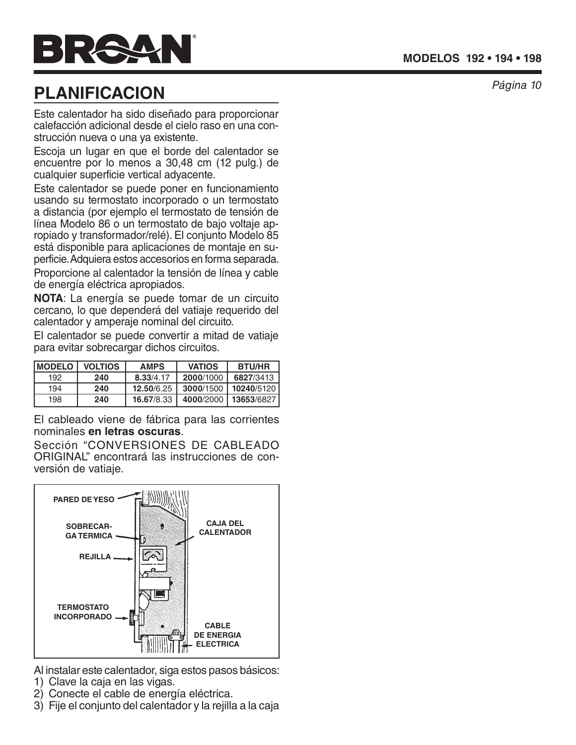

## **PLANIFICACION**

Este calentador ha sido diseñado para proporcionar calefacción adicional desde el cielo raso en una con strucción nueva o una ya existente.

Escoja un lugar en que el borde del calentador se encuentre por lo menos a 30,48 cm (12 pulg.) de cualquier superficie vertical adyacente.

Este calentador se puede poner en funcionamiento usando su termostato incorporado o un termostato a distancia (por ejemplo el termostato de tensión de línea Modelo 86 o un termostato de bajo voltaje ap ropiado y transformador/relé). El conjunto Modelo 85 está disponible para aplicaciones de montaje en su perficie. Adquiera estos accesorios en forma separada. Proporcione al calentador la tensión de línea y cable de energía eléctrica apropiados.

**NOTA**: La energía se puede tomar de un circuito cercano, lo que dependerá del vatiaje requerido del calentador y amperaje nominal del circuito.

El calentador se puede convertir a mitad de vatiaje para evitar sobrecargar dichos circuitos.

| <b>IMODELO</b> | <b>VOLTIOS</b> | <b>AMPS</b> | <b>VATIOS</b> | <b>BTU/HR</b> |
|----------------|----------------|-------------|---------------|---------------|
| 192            | 240            | 8.33/4.17   | 2000/1000     | 6827/3413     |
| 194            | 240            | 12.50/6.25  | 3000/1500     | 10240/5120    |
| 198            | 240            | 16.67/8.33  | 4000/2000     | 13653/6827    |

El cableado viene de fábrica para las corrientes nominales **en letras oscuras**.

Sección "CONVERSIONES DE CABLEADO ORIGINAL" encontrará las instrucciones de con versión de vatiaje.



Al instalar este calentador, siga estos pasos básicos:

- 1) Clave la caja en las vigas.
- 2) Conecte el cable de energía eléctrica.
- 3) Fije el conjunto del calentador y la rejilla a la caja

*Página 10*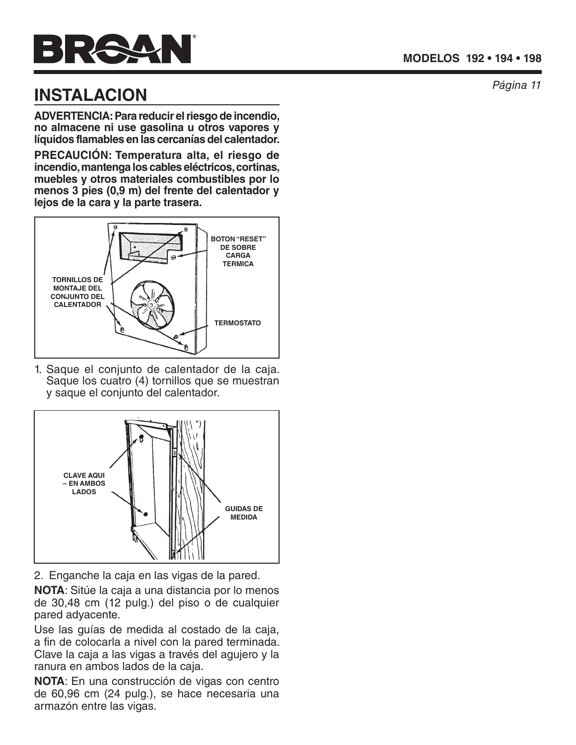# $\blacksquare$

## *Página 11* **INSTALACION**

**ADVERTENCIA: Para reducir el riesgo de incendio, no almacene ni use gasolina u otros vapores y líquidos flamables en las cercanías del calentador.**

**PRECAUCIÓN: Temperatura alta, el riesgo de incendio, mantenga los cables eléctricos, cortinas, muebles y otros materiales combustibles por lo menos 3 pies (0,9 m) del frente del calentador y lejos de la cara y la parte trasera.**



1. Saque el conjunto de calentador de la caja. Saque los cuatro (4) tornillos que se muestran y saque el conjunto del calentador.



2. Enganche la caja en las vigas de la pared.

**NOTA**: Sitúe la caja a una distancia por lo menos de 30,48 cm (12 pulg.) del piso o de cualquier pared adyacente.

Use las guías de medida al costado de la caja, a fin de colocarla a nivel con la pared terminada. Clave la caja a las vigas a través del agujero y la ranura en ambos lados de la caja.

**NOTA**: En una construcción de vigas con centro de 60,96 cm (24 pulg.), se hace necesaria una armazón entre las vigas.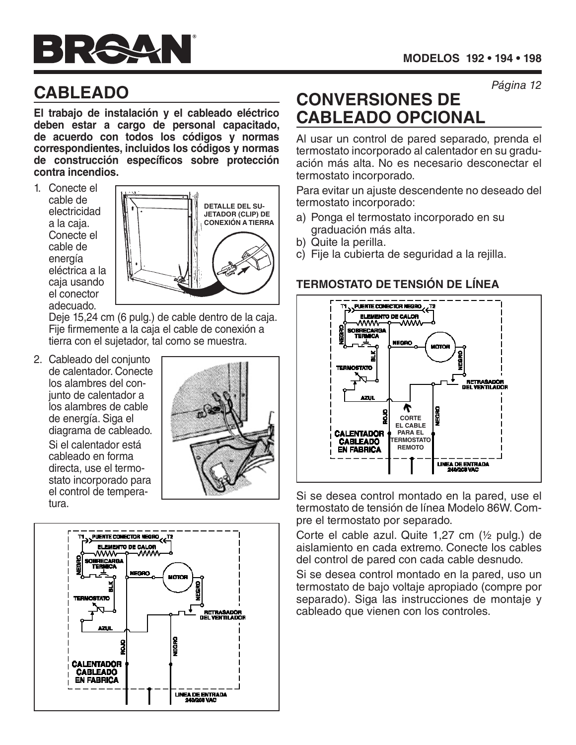# $\Rightarrow$   $\Rightarrow$   $\Rightarrow$

*Página 12*

## **CABLEADO**

**El trabajo de instalación y el cableado eléctrico deben estar a cargo de personal capacitado, de acuerdo con todos los códigos y normas correspondientes, incluidos los códigos y normas de construcción específicos sobre protección contra incendios.**

1. Conecte el cable de electricidad a la caja. Conecte el cable de energía eléctrica a la caja usando el conector adecuado.



Deje 15,24 cm (6 pulg.) de cable dentro de la caja. Fije firmemente a la caja el cable de conexión a tierra con el sujetador, tal como se muestra.

2. Cableado del conjunto de calentador. Conecte los alambres del conjunto de calentador a los alambres de cable de energía. Siga el diagrama de cableado.

> Si el calentador está cableado en forma directa, use el termostato incorporado para el control de temperatura.





## **CONVERSIONES DE CABLEADO OPCIONAL**

Al usar un control de pared separado, prenda el termostato incorporado al calentador en su graduación más alta. No es necesario desconectar el termostato incorporado.

Para evitar un ajuste descendente no deseado del termostato incorporado:

- a) Ponga el termostato incorporado en su graduación más alta.
- b) Quite la perilla.
- c) Fije la cubierta de seguridad a la rejilla.

### **TERMOSTATO DE TENSIÓN DE LÍNEA**



Si se desea control montado en la pared, use el termostato de tensión de línea Modelo 86W. Compre el termostato por separado.

Corte el cable azul. Quite 1,27 cm (½ pulg.) de aislamiento en cada extremo. Conecte los cables del control de pared con cada cable desnudo.

Si se desea control montado en la pared, uso un termostato de bajo voltaje apropiado (compre por separado). Siga las instrucciones de montaje y cableado que vienen con los controles.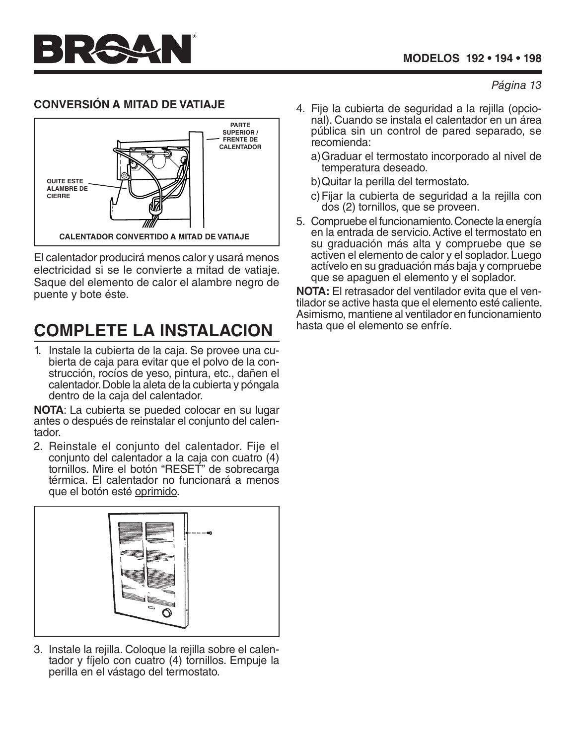### **CONVERSIÓN A MITAD DE VATIAJE**



El calentador producirá menos calor y usará menos electricidad si se le convierte a mitad de vatiaje. Saque del elemento de calor el alambre negro de puente y bote éste.

## **COMPLETE LA INSTALACION**

1. Instale la cubierta de la caja. Se provee una cubierta de caja para evitar que el polvo de la construcción, rocíos de yeso, pintura, etc., dañen el calentador. Doble la aleta de la cubierta y póngala dentro de la caja del calentador.

**NOTA**: La cubierta se pueded colocar en su lugar antes o después de reinstalar el conjunto del calen tador.

2. Reinstale el conjunto del calentador. Fije el conjunto del calentador a la caja con cuatro (4) tornillos. Mire el botón "RESET" de sobrecarga térmica. El calentador no funcionará a menos que el botón esté oprimido.



3. Instale la rejilla. Coloque la rejilla sobre el calentador y fíjelo con cuatro (4) tornillos. Empuje la perilla en el vástago del termostato.

- 4. Fije la cubierta de seguridad a la rejilla (opcional). Cuando se instala el calentador en un área pública sin un control de pared separado, se recomienda:
	- a)Graduar el termostato incorporado al nivel de temperatura deseado.
	- b)Quitar la perilla del termostato.
	- c)Fijar la cubierta de seguridad a la rejilla con dos (2) tornillos, que se proveen.
- 5. Compruebe el funcionamiento. Conecte la energía en la entrada de servicio. Active el termostato en su graduación más alta y compruebe que se activen el elemento de calor y el soplador. Luego actívelo en su graduación más baja y compruebe que se apaguen el elemento y el soplador.

**NOTA:** El retrasador del ventilador evita que el ventilador se active hasta que el elemento esté caliente. Asimismo, mantiene al ventilador en funcionamiento hasta que el elemento se enfríe.

#### *Página 13*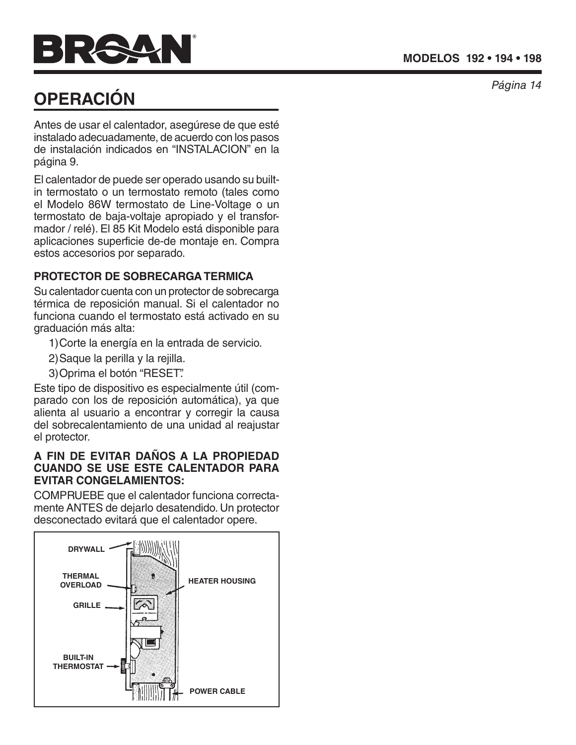## **OPERACIÓN**

Antes de usar el calentador, asegúrese de que esté instalado adecuadamente, de acuerdo con los pasos de instalación indicados en "INSTALACION" en la página 9.

El calentador de puede ser operado usando su builtin termostato o un termostato remoto (tales como el Modelo 86W termostato de Line-Voltage o un termostato de baja-voltaje apropiado y el transformador / relé). El 85 Kit Modelo está disponible para aplicaciones superficie de-de montaje en. Compra estos accesorios por separado.

### **PROTECTOR DE SOBRECARGA TERMICA**

Su calentador cuenta con un protector de sobrecarga térmica de reposición manual. Si el calentador no funciona cuando el termostato está activado en su graduación más alta:

- 1)Corte la energía en la entrada de servicio.
- 2)Saque la perilla y la rejilla.
- 3)Oprima el botón "RESET".

Este tipo de dispositivo es especialmente útil (com parado con los de reposición automática), ya que alienta al usuario a encontrar y corregir la causa del sobrecalentamiento de una unidad al reajustar el protector.

#### **A FIN DE EVITAR DAÑOS A LA PROPIEDAD CUANDO SE USE ESTE CALENTADOR PARA EVITAR CONGELAMIENTOS:**

COMPRUEBE que el calentador funciona correcta mente ANTES de dejarlo desatendido. Un protector desconectado evitará que el calentador opere.



*Página 14*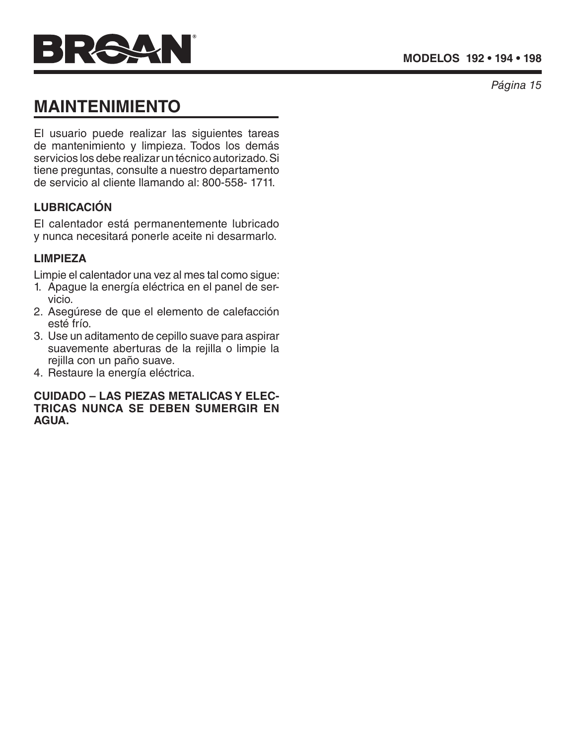

*Página 15*

## **MAINTENIMIENTO**

El usuario puede realizar las siguientes tareas de mantenimiento y limpieza. Todos los demás servicios los debe realizar un técnico autorizado. Si tiene preguntas, consulte a nuestro departamento de servicio al cliente llamando al: 800-558- 1711.

#### **LUBRICACIÓN**

El calentador está permanentemente lubricado y nunca necesitará ponerle aceite ni desarmarlo.

#### **LIMPIEZA**

Limpie el calentador una vez al mes tal como sigue:

- 1. Apague la energía eléctrica en el panel de servicio.
- 2. Asegúrese de que el elemento de calefacción esté frío.
- 3. Use un aditamento de cepillo suave para aspirar suavemente aberturas de la rejilla o limpie la rejilla con un paño suave.
- 4. Restaure la energía eléctrica.

#### **CUIDADO – LAS PIEZAS METALICAS Y ELEC - TRICAS NUNCA SE DEBEN SUMERGIR EN AGUA.**